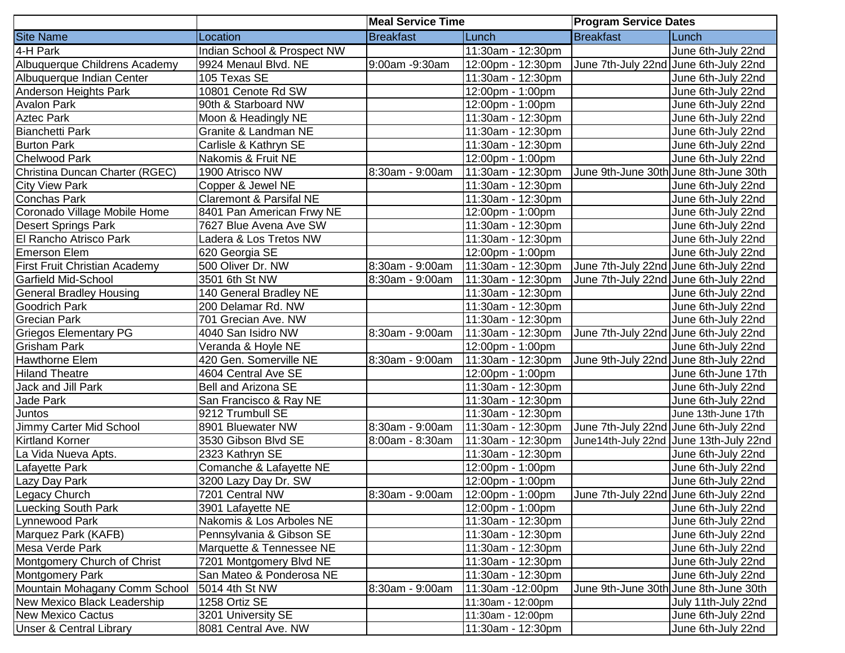|                                    |                                    | <b>Meal Service Time</b> |                   | <b>Program Service Dates</b>          |                                        |
|------------------------------------|------------------------------------|--------------------------|-------------------|---------------------------------------|----------------------------------------|
| <b>Site Name</b>                   | Location                           | <b>Breakfast</b>         | Lunch             | <b>Breakfast</b>                      | Lunch                                  |
| 4-H Park                           | Indian School & Prospect NW        |                          | 11:30am - 12:30pm |                                       | June 6th-July 22nd                     |
| Albuquerque Childrens Academy      | 9924 Menaul Blvd. NE               | 9:00am -9:30am           | 12:00pm - 12:30pm | June 7th-July 22nd June 6th-July 22nd |                                        |
| Albuquerque Indian Center          | 105 Texas SE                       |                          | 11:30am - 12:30pm |                                       | June 6th-July 22nd                     |
| <b>Anderson Heights Park</b>       | 10801 Cenote Rd SW                 |                          | 12:00pm - 1:00pm  |                                       | June 6th-July 22nd                     |
| <b>Avalon Park</b>                 | 90th & Starboard NW                |                          | 12:00pm - 1:00pm  |                                       | June 6th-July 22nd                     |
| <b>Aztec Park</b>                  | Moon & Headingly NE                |                          | 11:30am - 12:30pm |                                       | June 6th-July 22nd                     |
| <b>Bianchetti Park</b>             | Granite & Landman NE               |                          | 11:30am - 12:30pm |                                       | June 6th-July 22nd                     |
| <b>Burton Park</b>                 | Carlisle & Kathryn SE              |                          | 11:30am - 12:30pm |                                       | June 6th-July 22nd                     |
| <b>Chelwood Park</b>               | Nakomis & Fruit NE                 |                          | 12:00pm - 1:00pm  |                                       | June 6th-July 22nd                     |
| Christina Duncan Charter (RGEC)    | 1900 Atrisco NW                    | 8:30am - 9:00am          | 11:30am - 12:30pm | June 9th-June 30th June 8th-June 30th |                                        |
| <b>City View Park</b>              | Copper & Jewel NE                  |                          | 11:30am - 12:30pm |                                       | June 6th-July 22nd                     |
| <b>Conchas Park</b>                | <b>Claremont &amp; Parsifal NE</b> |                          | 11:30am - 12:30pm |                                       | June 6th-July 22nd                     |
| Coronado Village Mobile Home       | 8401 Pan American Frwy NE          |                          | 12:00pm - 1:00pm  |                                       | June 6th-July 22nd                     |
| <b>Desert Springs Park</b>         | 7627 Blue Avena Ave SW             |                          | 11:30am - 12:30pm |                                       | June 6th-July 22nd                     |
| El Rancho Atrisco Park             | Ladera & Los Tretos NW             |                          | 11:30am - 12:30pm |                                       | June 6th-July 22nd                     |
| <b>Emerson Elem</b>                | 620 Georgia SE                     |                          | 12:00pm - 1:00pm  |                                       | June 6th-July 22nd                     |
| First Fruit Christian Academy      | 500 Oliver Dr. NW                  | 8:30am - 9:00am          | 11:30am - 12:30pm | June 7th-July 22nd June 6th-July 22nd |                                        |
| <b>Garfield Mid-School</b>         | 3501 6th St NW                     | 8:30am - 9:00am          | 11:30am - 12:30pm | June 7th-July 22nd June 6th-July 22nd |                                        |
| <b>General Bradley Housing</b>     | 140 General Bradley NE             |                          | 11:30am - 12:30pm |                                       | June 6th-July 22nd                     |
| <b>Goodrich Park</b>               | 200 Delamar Rd. NW                 |                          | 11:30am - 12:30pm |                                       | June 6th-July 22nd                     |
| <b>Grecian Park</b>                | 701 Grecian Ave. NW                |                          | 11:30am - 12:30pm |                                       | June 6th-July 22nd                     |
| <b>Griegos Elementary PG</b>       | 4040 San Isidro NW                 | 8:30am - 9:00am          | 11:30am - 12:30pm | June 7th-July 22nd June 6th-July 22nd |                                        |
| <b>Grisham Park</b>                | Veranda & Hoyle NE                 |                          | 12:00pm - 1:00pm  |                                       | June 6th-July 22nd                     |
| <b>Hawthorne Elem</b>              | 420 Gen. Somerville NE             | 8:30am - 9:00am          | 11:30am - 12:30pm | June 9th-July 22nd June 8th-July 22nd |                                        |
| <b>Hiland Theatre</b>              | 4604 Central Ave SE                |                          | 12:00pm - 1:00pm  |                                       | June 6th-June 17th                     |
| Jack and Jill Park                 | Bell and Arizona SE                |                          | 11:30am - 12:30pm |                                       | June 6th-July 22nd                     |
| Jade Park                          | San Francisco & Ray NE             |                          | 11:30am - 12:30pm |                                       | June 6th-July 22nd                     |
| Juntos                             | 9212 Trumbull SE                   |                          | 11:30am - 12:30pm |                                       | June 13th-June 17th                    |
| Jimmy Carter Mid School            | 8901 Bluewater NW                  | 8:30am - 9:00am          | 11:30am - 12:30pm | June 7th-July 22nd June 6th-July 22nd |                                        |
| <b>Kirtland Korner</b>             | 3530 Gibson Blvd SE                | 8:00am - 8:30am          | 11:30am - 12:30pm |                                       | June14th-July 22nd June 13th-July 22nd |
| La Vida Nueva Apts.                | 2323 Kathryn SE                    |                          | 11:30am - 12:30pm |                                       | June 6th-July 22nd                     |
| Lafayette Park                     | Comanche & Lafayette NE            |                          | 12:00pm - 1:00pm  |                                       | June 6th-July 22nd                     |
| Lazy Day Park                      | 3200 Lazy Day Dr. SW               |                          | 12:00pm - 1:00pm  |                                       | June 6th-July 22nd                     |
| Legacy Church                      | 7201 Central NW                    | 8:30am - 9:00am          | 12:00pm - 1:00pm  | June 7th-July 22nd June 6th-July 22nd |                                        |
| <b>Luecking South Park</b>         | 3901 Lafayette NE                  |                          | 12:00pm - 1:00pm  |                                       | June 6th-July 22nd                     |
| Lynnewood Park                     | Nakomis & Los Arboles NE           |                          | 11:30am - 12:30pm |                                       | June 6th-July 22nd                     |
| Marquez Park (KAFB)                | Pennsylvania & Gibson SE           |                          | 11:30am - 12:30pm |                                       | June 6th-July 22nd                     |
| Mesa Verde Park                    | Marquette & Tennessee NE           |                          | 11:30am - 12:30pm |                                       | June 6th-July 22nd                     |
| Montgomery Church of Christ        | 7201 Montgomery Blvd NE            |                          | 11:30am - 12:30pm |                                       | June 6th-July 22nd                     |
| <b>Montgomery Park</b>             | San Mateo & Ponderosa NE           |                          | 11:30am - 12:30pm |                                       | June 6th-July 22nd                     |
| Mountain Mohagany Comm School      | 5014 4th St NW                     | 8:30am - 9:00am          | 11:30am -12:00pm  | June 9th-June 30th June 8th-June 30th |                                        |
| New Mexico Black Leadership        | 1258 Ortiz SE                      |                          | 11:30am - 12:00pm |                                       | July 11th-July 22nd                    |
| <b>New Mexico Cactus</b>           | 3201 University SE                 |                          | 11:30am - 12:00pm |                                       | June 6th-July 22nd                     |
| <b>Unser &amp; Central Library</b> | 8081 Central Ave. NW               |                          | 11:30am - 12:30pm |                                       | June 6th-July 22nd                     |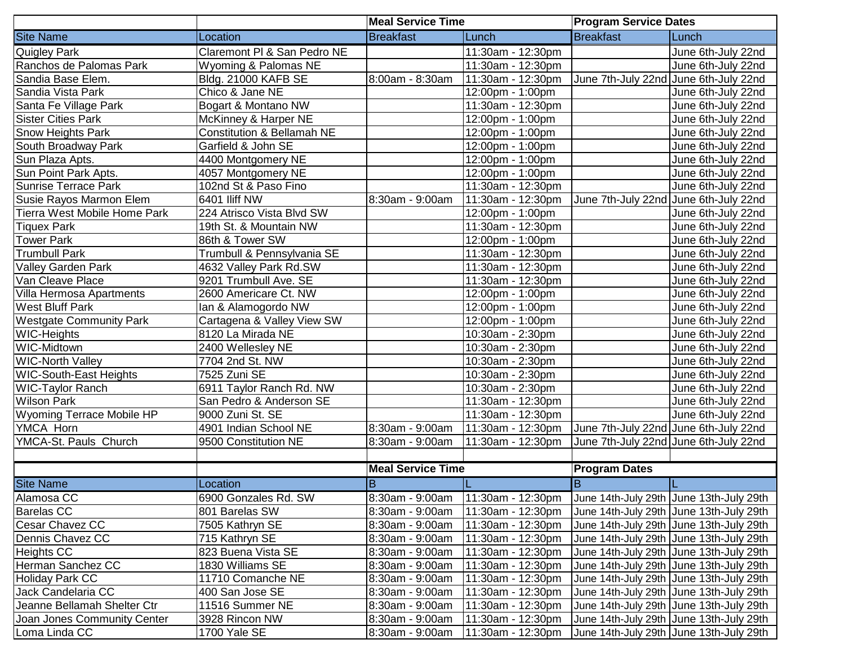|                                     |                                       | <b>Meal Service Time</b> |                     | <b>Program Service Dates</b>            |                                          |
|-------------------------------------|---------------------------------------|--------------------------|---------------------|-----------------------------------------|------------------------------------------|
| <b>Site Name</b>                    | Location                              | Breakfast                | Lunch               | <b>Breakfast</b>                        | Lunch                                    |
| <b>Quigley Park</b>                 | Claremont PI & San Pedro NE           |                          | 11:30am - 12:30pm   |                                         | June 6th-July 22nd                       |
| Ranchos de Palomas Park             | Wyoming & Palomas NE                  |                          | 11:30am - 12:30pm   |                                         | June 6th-July 22nd                       |
| Sandia Base Elem.                   | <b>Bldg. 21000 KAFB SE</b>            | 8:00am - 8:30am          | 11:30am - 12:30pm   | June 7th-July 22nd June 6th-July 22nd   |                                          |
| Sandia Vista Park                   | Chico & Jane NE                       |                          | 12:00pm - 1:00pm    |                                         | June 6th-July 22nd                       |
| Santa Fe Village Park               | Bogart & Montano NW                   |                          | 11:30am - 12:30pm   |                                         | June 6th-July 22nd                       |
| <b>Sister Cities Park</b>           | McKinney & Harper NE                  |                          | 12:00pm - 1:00pm    |                                         | June 6th-July 22nd                       |
| Snow Heights Park                   | <b>Constitution &amp; Bellamah NE</b> |                          | 12:00pm - 1:00pm    |                                         | June 6th-July 22nd                       |
| South Broadway Park                 | Garfield & John SE                    |                          | 12:00pm - 1:00pm    |                                         | June 6th-July 22nd                       |
| Sun Plaza Apts.                     | 4400 Montgomery NE                    |                          | 12:00pm - 1:00pm    |                                         | June 6th-July 22nd                       |
| Sun Point Park Apts.                | 4057 Montgomery NE                    |                          | 12:00pm - 1:00pm    |                                         | June 6th-July 22nd                       |
| <b>Sunrise Terrace Park</b>         | 102nd St & Paso Fino                  |                          | 11:30am - 12:30pm   |                                         | June 6th-July 22nd                       |
| Susie Rayos Marmon Elem             | 6401 Iliff NW                         | 8:30am - 9:00am          | 11:30am - 12:30pm   |                                         | June 7th-July 22nd June 6th-July 22nd    |
| <b>Tierra West Mobile Home Park</b> | 224 Atrisco Vista Blvd SW             |                          | 12:00pm - 1:00pm    |                                         | June 6th-July 22nd                       |
| Tiquex Park                         | 19th St. & Mountain NW                |                          | 11:30am - 12:30pm   |                                         | June 6th-July 22nd                       |
| <b>Tower Park</b>                   | 86th & Tower SW                       |                          | 12:00pm - 1:00pm    |                                         | June 6th-July 22nd                       |
| <b>Trumbull Park</b>                | Trumbull & Pennsylvania SE            |                          | 11:30am - 12:30pm   |                                         | June 6th-July 22nd                       |
| Valley Garden Park                  | 4632 Valley Park Rd.SW                |                          | 11:30am - 12:30pm   |                                         | June 6th-July 22nd                       |
| Van Cleave Place                    | 9201 Trumbull Ave. SE                 |                          | 11:30am - 12:30pm   |                                         | June 6th-July 22nd                       |
| Villa Hermosa Apartments            | 2600 Americare Ct. NW                 |                          | 12:00pm - 1:00pm    |                                         | June 6th-July 22nd                       |
| <b>West Bluff Park</b>              | Ian & Alamogordo NW                   |                          | 12:00pm - 1:00pm    |                                         | June 6th-July 22nd                       |
| <b>Westgate Community Park</b>      | Cartagena & Valley View SW            |                          | 12:00pm - 1:00pm    |                                         | June 6th-July 22nd                       |
| <b>WIC-Heights</b>                  | 8120 La Mirada NE                     |                          | 10:30am - 2:30pm    |                                         | June 6th-July 22nd                       |
| WIC-Midtown                         | 2400 Wellesley NE                     |                          | 10:30am - 2:30pm    |                                         | June 6th-July 22nd                       |
| <b>WIC-North Valley</b>             | 7704 2nd St. NW                       |                          | 10:30am - 2:30pm    |                                         | June 6th-July 22nd                       |
| <b>WIC-South-East Heights</b>       | 7525 Zuni SE                          |                          | 10:30am - 2:30pm    |                                         | June 6th-July 22nd                       |
| <b>WIC-Taylor Ranch</b>             | 6911 Taylor Ranch Rd. NW              |                          | 10:30am - 2:30pm    |                                         | June 6th-July 22nd                       |
| <b>Wilson Park</b>                  | San Pedro & Anderson SE               |                          | 11:30am - 12:30pm   |                                         | June 6th-July 22nd                       |
| Wyoming Terrace Mobile HP           | 9000 Zuni St. SE                      |                          | 11:30am - 12:30pm   |                                         | June 6th-July 22nd                       |
| YMCA Horn                           | 4901 Indian School NE                 | 8:30am - 9:00am          | 11:30am - 12:30pm   | June 7th-July 22nd June 6th-July 22nd   |                                          |
| YMCA-St. Pauls Church               | 9500 Constitution NE                  | 8:30am - 9:00am          | 11:30am - 12:30pm   | June 7th-July 22nd June 6th-July 22nd   |                                          |
|                                     |                                       |                          |                     |                                         |                                          |
|                                     |                                       | <b>Meal Service Time</b> |                     | <b>Program Dates</b>                    |                                          |
| <b>Site Name</b>                    | Location                              | $\overline{B}$           |                     | $\overline{B}$                          |                                          |
| Alamosa CC                          | 6900 Gonzales Rd. SW                  | 8:30am - 9:00am          | $11:30am - 12:30pm$ | June 14th-July 29th June 13th-July 29th |                                          |
| <b>Barelas CC</b>                   | 801 Barelas SW                        | 8:30am - 9:00am          | 11:30am - 12:30pm   |                                         | June 14th-July 29th June 13th-July 29th  |
| Cesar Chavez CC                     | 7505 Kathryn SE                       | 8:30am - 9:00am          | 11:30am - 12:30pm   |                                         | June 14th-July 29th June 13th-July 29th  |
| Dennis Chavez CC                    | 715 Kathryn SE                        | 8:30am - 9:00am          | 11:30am - 12:30pm   |                                         | June 14th-July 29th June 13th-July 29th  |
| <b>Heights CC</b>                   | 823 Buena Vista SE                    | 8:30am - 9:00am          | 11:30am - 12:30pm   |                                         | June 14th-July 29th June 13th-July 29th  |
| Herman Sanchez CC                   | 1830 Williams SE                      | 8:30am - 9:00am          | 11:30am - 12:30pm   |                                         | June 14th-July 29th June 13th-July 29th  |
| <b>Holiday Park CC</b>              | 11710 Comanche NE                     | 8:30am - 9:00am          | 11:30am - 12:30pm   |                                         | June 14th-July 29th June 13th-July 29th  |
| Jack Candelaria CC                  | 400 San Jose SE                       | 8:30am - 9:00am          | 11:30am - 12:30pm   |                                         | June 14th-July 29th June 13th-July 29th  |
| Jeanne Bellamah Shelter Ctr         | 11516 Summer NE                       | 8:30am - 9:00am          | 11:30am - 12:30pm   |                                         | June 14th-July 29th JJune 13th-July 29th |
| Joan Jones Community Center         | 3928 Rincon NW                        | 8:30am - 9:00am          | 11:30am - 12:30pm   |                                         | June 14th-July 29th June 13th-July 29th  |
| Loma Linda CC                       | 1700 Yale SE                          | 8:30am - 9:00am          | 11:30am - 12:30pm   |                                         | June 14th-July 29th June 13th-July 29th  |